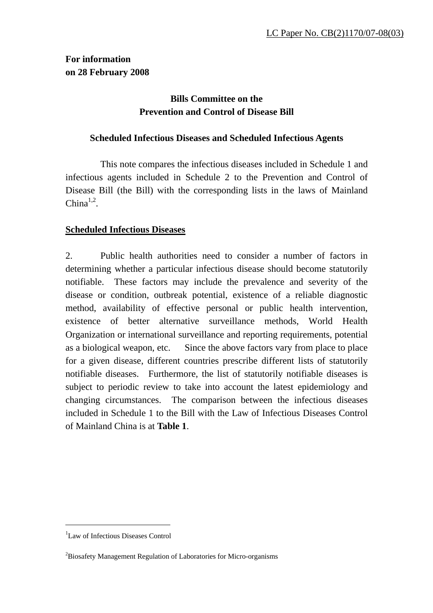# **For information on 28 February 2008**

# **Bills Committee on the Prevention and Control of Disease Bill**

### **Scheduled Infectious Diseases and Scheduled Infectious Agents**

 This note compares the infectious diseases included in Schedule 1 and infectious agents included in Schedule 2 to the Prevention and Control of Disease Bill (the Bill) with the corresponding lists in the laws of Mainland  $China<sup>1,2</sup>$ .

### **Scheduled Infectious Diseases**

2. Public health authorities need to consider a number of factors in determining whether a particular infectious disease should become statutorily notifiable. These factors may include the prevalence and severity of the disease or condition, outbreak potential, existence of a reliable diagnostic method, availability of effective personal or public health intervention, existence of better alternative surveillance methods, World Health Organization or international surveillance and reporting requirements, potential as a biological weapon, etc. Since the above factors vary from place to place for a given disease, different countries prescribe different lists of statutorily notifiable diseases. Furthermore, the list of statutorily notifiable diseases is subject to periodic review to take into account the latest epidemiology and changing circumstances. The comparison between the infectious diseases included in Schedule 1 to the Bill with the Law of Infectious Diseases Control of Mainland China is at **Table 1**.

 $\overline{a}$ 

<sup>1</sup> Law of Infectious Diseases Control

<sup>&</sup>lt;sup>2</sup>Biosafety Management Regulation of Laboratories for Micro-organisms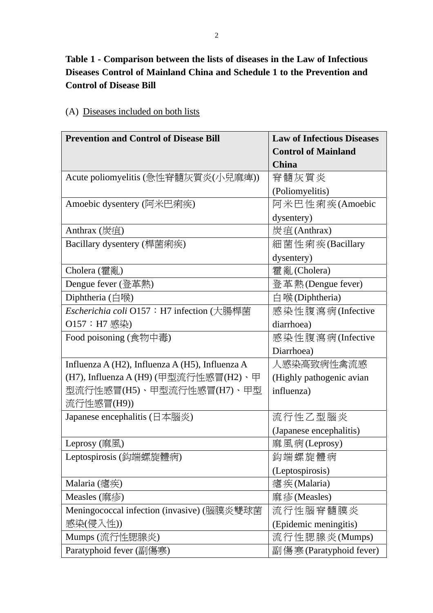# **Table 1 - Comparison between the lists of diseases in the Law of Infectious Diseases Control of Mainland China and Schedule 1 to the Prevention and Control of Disease Bill**

| <b>Prevention and Control of Disease Bill</b>   | <b>Law of Infectious Diseases</b> |
|-------------------------------------------------|-----------------------------------|
|                                                 | <b>Control of Mainland</b>        |
|                                                 | <b>China</b>                      |
| Acute poliomyelitis (急性脊髓灰質炎(小兒麻痺))             | 脊髓灰質炎                             |
|                                                 | (Poliomyelitis)                   |
| Amoebic dysentery (阿米巴痢疾)                       | 阿米巴性痢疾(Amoebic                    |
|                                                 | dysentery)                        |
| Anthrax (炭疽)                                    | 炭疽(Anthrax)                       |
| Bacillary dysentery (桿菌痢疾)                      | 細菌性痢疾(Bacillary                   |
|                                                 | dysentery)                        |
| Cholera (霍亂)                                    | 霍亂(Cholera)                       |
| Dengue fever (登革熱)                              | 登革熱(Dengue fever)                 |
| Diphtheria $(\exists$ 喉)                        | 白喉(Diphtheria)                    |
| Escherichia coli O157: H7 infection (大腸桿菌       | 感染性腹瀉病(Infective                  |
| O157: H7 感染)                                    | diarrhoea)                        |
| Food poisoning (食物中毒)                           | 感染性腹瀉病(Infective                  |
|                                                 | Diarrhoea)                        |
| Influenza A (H2), Influenza A (H5), Influenza A | 人感染高致病性禽流感                        |
| (H7), Influenza A (H9) (甲型流行性感冒(H2)、甲           | (Highly pathogenic avian          |
| 型流行性感冒(H5)、甲型流行性感冒(H7)、甲型                       | influenza)                        |
| 流行性感冒(H9))                                      |                                   |
| Japanese encephalitis (日本腦炎)                    | 流行性乙型腦炎                           |
|                                                 | (Japanese encephalitis)           |
| Leprosy (麻風)                                    | 麻風病(Leprosy)                      |
| Leptospirosis (鈎端螺旋體病)                          | 鈎端螺旋體病                            |
|                                                 | (Leptospirosis)                   |
| Malaria $(\n$ 疾)                                | 瘧疾(Malaria)                       |
| Measles (麻疹)                                    | 麻疹(Measles)                       |
| Meningococcal infection (invasive) (腦膜炎雙球菌      | 流行性腦脊髓膜炎                          |
| 感染(侵入性))                                        | (Epidemic meningitis)             |
| Mumps (流行性腮腺炎)                                  | 流行性腮腺炎(Mumps)                     |
| Paratyphoid fever (副傷寒)                         | 副傷寒(Paratyphoid fever)            |

### (A) Diseases included on both lists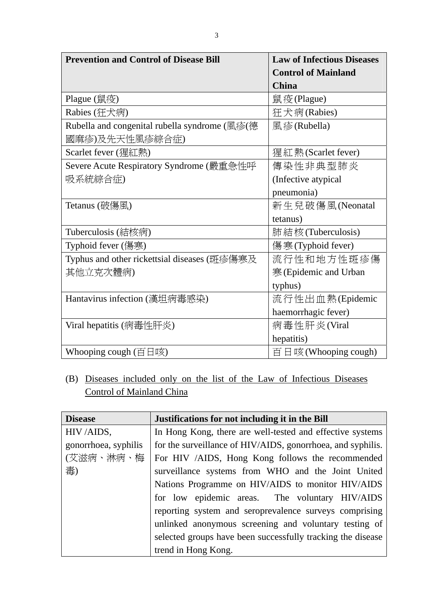| <b>Prevention and Control of Disease Bill</b> | <b>Law of Infectious Diseases</b> |
|-----------------------------------------------|-----------------------------------|
|                                               | <b>Control of Mainland</b>        |
|                                               | <b>China</b>                      |
| Plague (鼠疫)                                   | 鼠疫(Plague)                        |
| Rabies (狂犬病)                                  | 狂犬病(Rabies)                       |
| Rubella and congenital rubella syndrome (風疹(德 | 風疹(Rubella)                       |
| 國麻疹)及先天性風疹綜合症)                                |                                   |
| Scarlet fever (猩紅熱)                           | 猩紅熱 (Scarlet fever)               |
| Severe Acute Respiratory Syndrome (嚴重急性呼      | 傳染性非典型肺炎                          |
| 吸系統綜合症)                                       | (Infective atypical)              |
|                                               | pneumonia)                        |
| Tetanus (破傷風)                                 | 新生兒破傷風(Neonatal                   |
|                                               | tetanus)                          |
| Tuberculosis (結核病)                            | 肺結核(Tuberculosis)                 |
| Typhoid fever (傷寒)                            | 傷寒(Typhoid fever)                 |
| Typhus and other rickettsial diseases (斑疹傷寒及  | 流行性和地方性斑疹傷                        |
| 其他立克次體病)                                      | 寒(Epidemic and Urban              |
|                                               | typhus)                           |
| Hantavirus infection (漢坦病毒感染)                 | 流行性出血熱(Epidemic                   |
|                                               | haemorrhagic fever)               |
| Viral hepatitis (病毒性肝炎)                       | 病毒性肝炎(Viral                       |
|                                               | hepatitis)                        |
| Whooping cough (百日咳)                          | 百日咳(Whooping cough)               |

(B) Diseases included only on the list of the Law of Infectious Diseases Control of Mainland China

| <b>Disease</b>       | Justifications for not including it in the Bill             |
|----------------------|-------------------------------------------------------------|
| HIV/AIDS,            | In Hong Kong, there are well-tested and effective systems   |
| gonorrhoea, syphilis | for the surveillance of HIV/AIDS, gonorrhoea, and syphilis. |
| (艾滋病、淋病、梅)           | For HIV /AIDS, Hong Kong follows the recommended            |
| 毒)                   | surveillance systems from WHO and the Joint United          |
|                      | Nations Programme on HIV/AIDS to monitor HIV/AIDS           |
|                      | for low epidemic areas. The voluntary HIV/AIDS              |
|                      | reporting system and seroprevalence surveys comprising      |
|                      | unlinked anonymous screening and voluntary testing of       |
|                      | selected groups have been successfully tracking the disease |
|                      | trend in Hong Kong.                                         |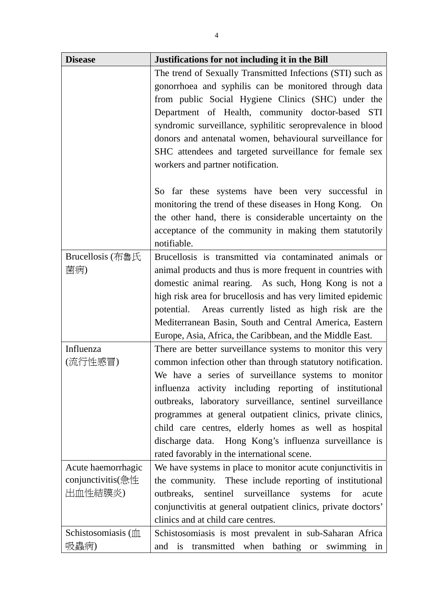| <b>Disease</b>          | Justifications for not including it in the Bill                |
|-------------------------|----------------------------------------------------------------|
|                         | The trend of Sexually Transmitted Infections (STI) such as     |
|                         | gonorrhoea and syphilis can be monitored through data          |
|                         | from public Social Hygiene Clinics (SHC) under the             |
|                         | Department of Health, community doctor-based STI               |
|                         | syndromic surveillance, syphilitic seroprevalence in blood     |
|                         | donors and antenatal women, behavioural surveillance for       |
|                         | SHC attendees and targeted surveillance for female sex         |
|                         | workers and partner notification.                              |
|                         |                                                                |
|                         | So far these systems have been very successful in              |
|                         | monitoring the trend of these diseases in Hong Kong. On        |
|                         | the other hand, there is considerable uncertainty on the       |
|                         | acceptance of the community in making them statutorily         |
|                         | notifiable.                                                    |
| <b>Brucellosis</b> (布魯氏 | Brucellosis is transmitted via contaminated animals or         |
| 菌病)                     | animal products and thus is more frequent in countries with    |
|                         | domestic animal rearing. As such, Hong Kong is not a           |
|                         | high risk area for brucellosis and has very limited epidemic   |
|                         | potential. Areas currently listed as high risk are the         |
|                         | Mediterranean Basin, South and Central America, Eastern        |
|                         | Europe, Asia, Africa, the Caribbean, and the Middle East.      |
| Influenza               | There are better surveillance systems to monitor this very     |
| (流行性感冒)                 | common infection other than through statutory notification.    |
|                         | We have a series of surveillance systems to monitor            |
|                         | influenza activity including reporting of institutional        |
|                         | outbreaks, laboratory surveillance, sentinel surveillance      |
|                         | programmes at general outpatient clinics, private clinics,     |
|                         | child care centres, elderly homes as well as hospital          |
|                         | discharge data. Hong Kong's influenza surveillance is          |
|                         | rated favorably in the international scene.                    |
| Acute haemorrhagic      | We have systems in place to monitor acute conjunctivitis in    |
| conjunctivitis(急性       | the community. These include reporting of institutional        |
| 出血性結膜炎)                 | surveillance<br>sentinel<br>systems for<br>outbreaks,<br>acute |
|                         | conjunctivitis at general outpatient clinics, private doctors' |
|                         | clinics and at child care centres.                             |
| Schistosomiasis (m      | Schistosomiasis is most prevalent in sub-Saharan Africa        |
| 吸蟲病)                    | transmitted when bathing or<br>is<br>swimming in<br>and        |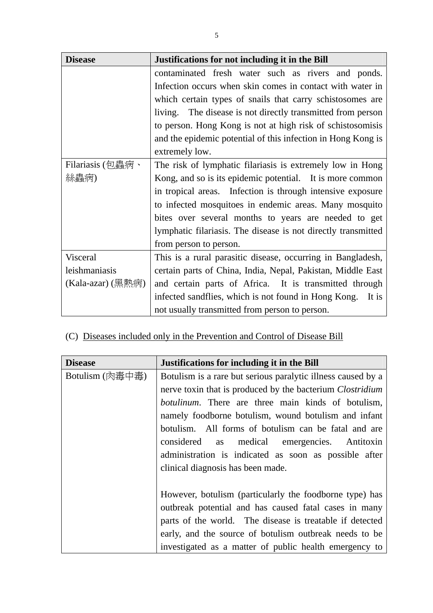| <b>Disease</b>    | Justifications for not including it in the Bill               |
|-------------------|---------------------------------------------------------------|
|                   | contaminated fresh water such as rivers and ponds.            |
|                   | Infection occurs when skin comes in contact with water in     |
|                   | which certain types of snails that carry schistosomes are     |
|                   | living. The disease is not directly transmitted from person   |
|                   | to person. Hong Kong is not at high risk of schistosomisis    |
|                   | and the epidemic potential of this infection in Hong Kong is  |
|                   | extremely low.                                                |
| Filariasis (包蟲病、  | The risk of lymphatic filariasis is extremely low in Hong     |
| 絲蟲病)              | Kong, and so is its epidemic potential. It is more common     |
|                   | in tropical areas. Infection is through intensive exposure    |
|                   | to infected mosquitoes in endemic areas. Many mosquito        |
|                   | bites over several months to years are needed to get          |
|                   | lymphatic filariasis. The disease is not directly transmitted |
|                   | from person to person.                                        |
| Visceral          | This is a rural parasitic disease, occurring in Bangladesh,   |
| leishmaniasis     | certain parts of China, India, Nepal, Pakistan, Middle East   |
| (Kala-azar) (黑熱病) | and certain parts of Africa. It is transmitted through        |
|                   | infected sandflies, which is not found in Hong Kong.<br>It is |
|                   | not usually transmitted from person to person.                |

(C) Diseases included only in the Prevention and Control of Disease Bill

| <b>Disease</b>  | Justifications for including it in the Bill                      |
|-----------------|------------------------------------------------------------------|
| Botulism (肉毒中毒) | Botulism is a rare but serious paralytic illness caused by a     |
|                 | nerve toxin that is produced by the bacterium <i>Clostridium</i> |
|                 | <i>botulinum</i> . There are three main kinds of botulism,       |
|                 | namely foodborne botulism, wound botulism and infant             |
|                 | botulism. All forms of botulism can be fatal and are             |
|                 | considered<br>medical emergencies. Antitoxin<br>as               |
|                 | administration is indicated as soon as possible after            |
|                 | clinical diagnosis has been made.                                |
|                 |                                                                  |
|                 | However, botulism (particularly the foodborne type) has          |
|                 | outbreak potential and has caused fatal cases in many            |
|                 | parts of the world. The disease is treatable if detected         |
|                 | early, and the source of botulism outbreak needs to be           |
|                 | investigated as a matter of public health emergency to           |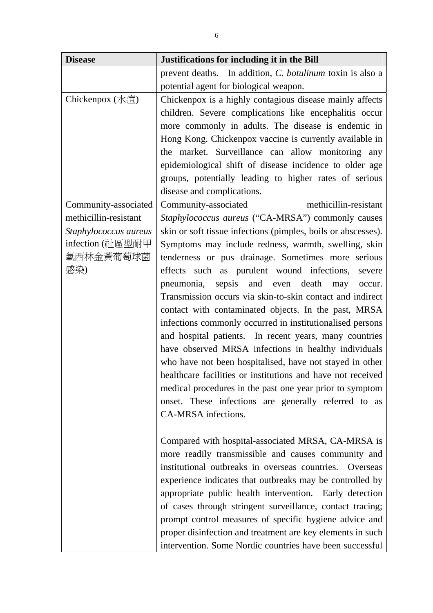| <b>Disease</b>        | Justifications for including it in the Bill                   |
|-----------------------|---------------------------------------------------------------|
|                       | prevent deaths. In addition, C. botulinum toxin is also a     |
|                       | potential agent for biological weapon.                        |
| Chickenpox $($ 水痘 $)$ | Chickenpox is a highly contagious disease mainly affects      |
|                       | children. Severe complications like encephalitis occur        |
|                       | more commonly in adults. The disease is endemic in            |
|                       | Hong Kong. Chickenpox vaccine is currently available in       |
|                       | the market. Surveillance can allow monitoring any             |
|                       | epidemiological shift of disease incidence to older age       |
|                       | groups, potentially leading to higher rates of serious        |
|                       | disease and complications.                                    |
| Community-associated  | methicillin-resistant<br>Community-associated                 |
| methicillin-resistant | Staphylococcus aureus ("CA-MRSA") commonly causes             |
| Staphylococcus aureus | skin or soft tissue infections (pimples, boils or abscesses). |
| infection (社區型耐甲      | Symptoms may include redness, warmth, swelling, skin          |
| 氧西林金黃葡萄球菌             | tenderness or pus drainage. Sometimes more serious            |
| 感染)                   | effects such as purulent wound infections,<br>severe          |
|                       | pneumonia, sepsis and even death may<br>occur.                |
|                       | Transmission occurs via skin-to-skin contact and indirect     |
|                       | contact with contaminated objects. In the past, MRSA          |
|                       | infections commonly occurred in institutionalised persons     |
|                       | and hospital patients. In recent years, many countries        |
|                       | have observed MRSA infections in healthy individuals          |
|                       | who have not been hospitalised, have not stayed in other      |
|                       | healthcare facilities or institutions and have not received   |
|                       | medical procedures in the past one year prior to symptom      |
|                       | onset. These infections are generally referred to as          |
|                       | CA-MRSA infections.                                           |
|                       |                                                               |
|                       | Compared with hospital-associated MRSA, CA-MRSA is            |
|                       | more readily transmissible and causes community and           |
|                       | institutional outbreaks in overseas countries.<br>Overseas    |
|                       | experience indicates that outbreaks may be controlled by      |
|                       | appropriate public health intervention. Early detection       |
|                       | of cases through stringent surveillance, contact tracing;     |
|                       | prompt control measures of specific hygiene advice and        |
|                       | proper disinfection and treatment are key elements in such    |
|                       | intervention. Some Nordic countries have been successful      |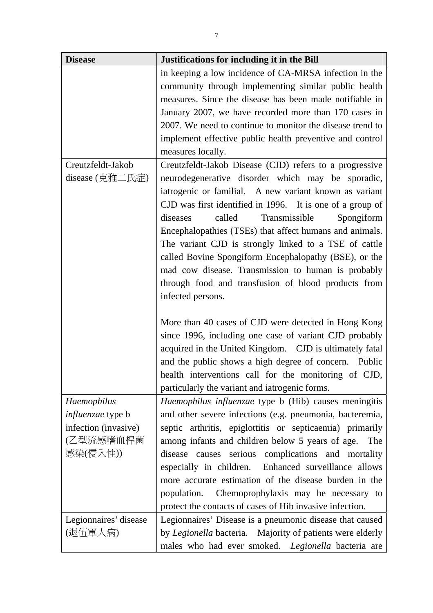| <b>Disease</b>           | Justifications for including it in the Bill               |
|--------------------------|-----------------------------------------------------------|
|                          | in keeping a low incidence of CA-MRSA infection in the    |
|                          | community through implementing similar public health      |
|                          | measures. Since the disease has been made notifiable in   |
|                          | January 2007, we have recorded more than 170 cases in     |
|                          | 2007. We need to continue to monitor the disease trend to |
|                          | implement effective public health preventive and control  |
|                          | measures locally.                                         |
| Creutzfeldt-Jakob        | Creutzfeldt-Jakob Disease (CJD) refers to a progressive   |
| disease (克雅二氏症)          | neurodegenerative disorder which may be sporadic,         |
|                          | iatrogenic or familial. A new variant known as variant    |
|                          | CJD was first identified in 1996. It is one of a group of |
|                          | called<br>Transmissible<br>diseases<br>Spongiform         |
|                          | Encephalopathies (TSEs) that affect humans and animals.   |
|                          | The variant CJD is strongly linked to a TSE of cattle     |
|                          | called Bovine Spongiform Encephalopathy (BSE), or the     |
|                          | mad cow disease. Transmission to human is probably        |
|                          | through food and transfusion of blood products from       |
|                          | infected persons.                                         |
|                          |                                                           |
|                          | More than 40 cases of CJD were detected in Hong Kong      |
|                          | since 1996, including one case of variant CJD probably    |
|                          | acquired in the United Kingdom. CJD is ultimately fatal   |
|                          | and the public shows a high degree of concern. Public     |
|                          | health interventions call for the monitoring of CJD,      |
|                          | particularly the variant and iatrogenic forms.            |
| Haemophilus              | Haemophilus influenzae type b (Hib) causes meningitis     |
| <i>influenzae</i> type b | and other severe infections (e.g. pneumonia, bacteremia,  |
| infection (invasive)     | septic arthritis, epiglottitis or septicaemia) primarily  |
| (乙型流感嗜血桿菌                | among infants and children below 5 years of age.<br>The   |
| 感染(侵入性))                 | disease causes serious complications and mortality        |
|                          | especially in children. Enhanced surveillance allows      |
|                          | more accurate estimation of the disease burden in the     |
|                          |                                                           |
|                          | population. Chemoprophylaxis may be necessary to          |
|                          | protect the contacts of cases of Hib invasive infection.  |
| Legionnaires' disease    | Legionnaires' Disease is a pneumonic disease that caused  |
| (退伍軍人病)                  | by Legionella bacteria. Majority of patients were elderly |
|                          | males who had ever smoked. Legionella bacteria are        |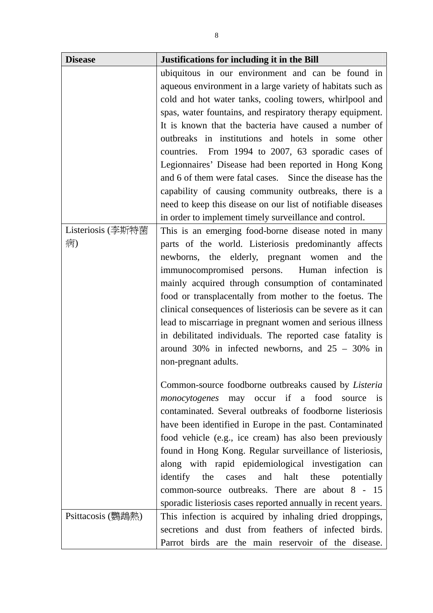| <b>Disease</b>    | Justifications for including it in the Bill                   |
|-------------------|---------------------------------------------------------------|
|                   | ubiquitous in our environment and can be found in             |
|                   | aqueous environment in a large variety of habitats such as    |
|                   | cold and hot water tanks, cooling towers, whirlpool and       |
|                   | spas, water fountains, and respiratory therapy equipment.     |
|                   | It is known that the bacteria have caused a number of         |
|                   | outbreaks in institutions and hotels in some other            |
|                   | countries. From 1994 to 2007, 63 sporadic cases of            |
|                   | Legionnaires' Disease had been reported in Hong Kong          |
|                   | and 6 of them were fatal cases. Since the disease has the     |
|                   | capability of causing community outbreaks, there is a         |
|                   | need to keep this disease on our list of notifiable diseases  |
|                   | in order to implement timely surveillance and control.        |
| Listeriosis (李斯特菌 | This is an emerging food-borne disease noted in many          |
| 病)                | parts of the world. Listeriosis predominantly affects         |
|                   | newborns, the elderly, pregnant women and the                 |
|                   | immunocompromised persons. Human infection is                 |
|                   | mainly acquired through consumption of contaminated           |
|                   | food or transplacentally from mother to the foetus. The       |
|                   | clinical consequences of listeriosis can be severe as it can  |
|                   | lead to miscarriage in pregnant women and serious illness     |
|                   | in debilitated individuals. The reported case fatality is     |
|                   | around 30% in infected newborns, and $25 - 30\%$ in           |
|                   | non-pregnant adults.                                          |
|                   |                                                               |
|                   | Common-source foodborne outbreaks caused by <i>Listeria</i>   |
|                   | <i>monocytogenes</i> may occur if a food source is            |
|                   | contaminated. Several outbreaks of foodborne listeriosis      |
|                   | have been identified in Europe in the past. Contaminated      |
|                   | food vehicle (e.g., ice cream) has also been previously       |
|                   | found in Hong Kong. Regular surveillance of listeriosis,      |
|                   | along with rapid epidemiological investigation can            |
|                   | identify the<br>cases and halt these potentially              |
|                   | common-source outbreaks. There are about 8 - 15               |
|                   | sporadic listeriosis cases reported annually in recent years. |
| Psittacosis (鸚鵡熱) | This infection is acquired by inhaling dried droppings,       |
|                   | secretions and dust from feathers of infected birds.          |
|                   | Parrot birds are the main reservoir of the disease.           |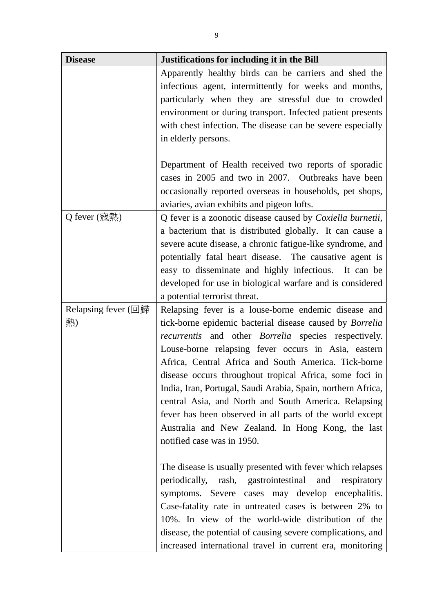| <b>Disease</b>      | Justifications for including it in the Bill                        |
|---------------------|--------------------------------------------------------------------|
|                     | Apparently healthy birds can be carriers and shed the              |
|                     | infectious agent, intermittently for weeks and months,             |
|                     | particularly when they are stressful due to crowded                |
|                     | environment or during transport. Infected patient presents         |
|                     | with chest infection. The disease can be severe especially         |
|                     | in elderly persons.                                                |
|                     |                                                                    |
|                     | Department of Health received two reports of sporadic              |
|                     | cases in 2005 and two in 2007. Outbreaks have been                 |
|                     | occasionally reported overseas in households, pet shops,           |
|                     | aviaries, avian exhibits and pigeon lofts.                         |
| Q fever (寇熱)        | Q fever is a zoonotic disease caused by <i>Coxiella burnetii</i> , |
|                     | a bacterium that is distributed globally. It can cause a           |
|                     | severe acute disease, a chronic fatigue-like syndrome, and         |
|                     | potentially fatal heart disease. The causative agent is            |
|                     | easy to disseminate and highly infectious. It can be               |
|                     | developed for use in biological warfare and is considered          |
|                     | a potential terrorist threat.                                      |
| Relapsing fever (回歸 | Relapsing fever is a louse-borne endemic disease and               |
| 熱)                  | tick-borne epidemic bacterial disease caused by <i>Borrelia</i>    |
|                     | <i>recurrentis</i> and other <i>Borrelia</i> species respectively. |
|                     | Louse-borne relapsing fever occurs in Asia, eastern                |
|                     | Africa, Central Africa and South America. Tick-borne               |
|                     | disease occurs throughout tropical Africa, some foci in            |
|                     | India, Iran, Portugal, Saudi Arabia, Spain, northern Africa,       |
|                     | central Asia, and North and South America. Relapsing               |
|                     | fever has been observed in all parts of the world except           |
|                     | Australia and New Zealand. In Hong Kong, the last                  |
|                     | notified case was in 1950.                                         |
|                     |                                                                    |
|                     | The disease is usually presented with fever which relapses         |
|                     | periodically, rash, gastrointestinal and respiratory               |
|                     | symptoms. Severe cases may develop encephalitis.                   |
|                     | Case-fatality rate in untreated cases is between 2% to             |
|                     | 10%. In view of the world-wide distribution of the                 |
|                     | disease, the potential of causing severe complications, and        |
|                     | increased international travel in current era, monitoring          |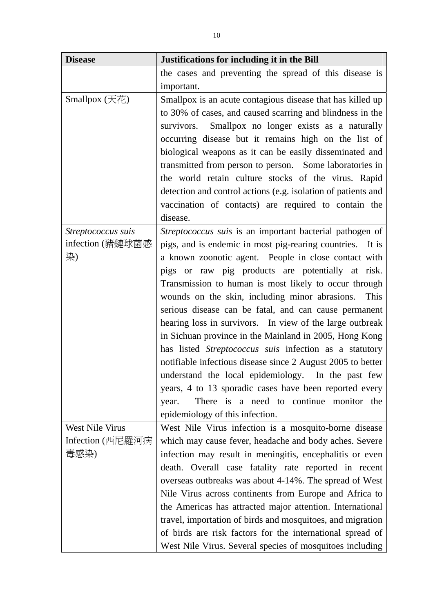| <b>Disease</b>     | Justifications for including it in the Bill                   |
|--------------------|---------------------------------------------------------------|
|                    | the cases and preventing the spread of this disease is        |
|                    | important.                                                    |
| Smallpox $(天$ 花)   | Smallpox is an acute contagious disease that has killed up    |
|                    | to 30% of cases, and caused scarring and blindness in the     |
|                    | survivors. Smallpox no longer exists as a naturally           |
|                    | occurring disease but it remains high on the list of          |
|                    | biological weapons as it can be easily disseminated and       |
|                    | transmitted from person to person. Some laboratories in       |
|                    | the world retain culture stocks of the virus. Rapid           |
|                    | detection and control actions (e.g. isolation of patients and |
|                    | vaccination of contacts) are required to contain the          |
|                    | disease.                                                      |
| Streptococcus suis | Streptococcus suis is an important bacterial pathogen of      |
| infection (豬鏈球菌感   | pigs, and is endemic in most pig-rearing countries. It is     |
| 染)                 | a known zoonotic agent. People in close contact with          |
|                    | pigs or raw pig products are potentially at risk.             |
|                    | Transmission to human is most likely to occur through         |
|                    | wounds on the skin, including minor abrasions.<br>This        |
|                    | serious disease can be fatal, and can cause permanent         |
|                    | hearing loss in survivors. In view of the large outbreak      |
|                    | in Sichuan province in the Mainland in 2005, Hong Kong        |
|                    | has listed Streptococcus suis infection as a statutory        |
|                    | notifiable infectious disease since 2 August 2005 to better   |
|                    | understand the local epidemiology. In the past few            |
|                    | years, 4 to 13 sporadic cases have been reported every        |
|                    | There is a need to continue monitor the<br>year.              |
|                    | epidemiology of this infection.                               |
| West Nile Virus    | West Nile Virus infection is a mosquito-borne disease         |
| Infection (西尼羅河病   | which may cause fever, headache and body aches. Severe        |
| 毒感染)               | infection may result in meningitis, encephalitis or even      |
|                    | death. Overall case fatality rate reported in recent          |
|                    | overseas outbreaks was about 4-14%. The spread of West        |
|                    | Nile Virus across continents from Europe and Africa to        |
|                    | the Americas has attracted major attention. International     |
|                    | travel, importation of birds and mosquitoes, and migration    |
|                    | of birds are risk factors for the international spread of     |
|                    | West Nile Virus. Several species of mosquitoes including      |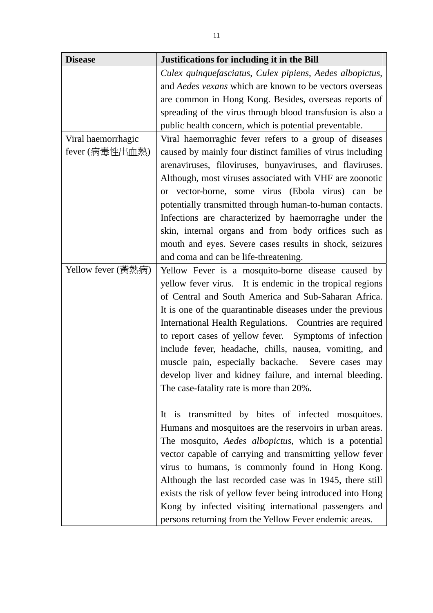| <b>Disease</b>     | Justifications for including it in the Bill                    |
|--------------------|----------------------------------------------------------------|
|                    | Culex quinquefasciatus, Culex pipiens, Aedes albopictus,       |
|                    | and <i>Aedes vexans</i> which are known to be vectors overseas |
|                    | are common in Hong Kong. Besides, overseas reports of          |
|                    | spreading of the virus through blood transfusion is also a     |
|                    | public health concern, which is potential preventable.         |
| Viral haemorrhagic | Viral haemorraghic fever refers to a group of diseases         |
| fever (病毒性出血熱)     | caused by mainly four distinct families of virus including     |
|                    | arenaviruses, filoviruses, bunyaviruses, and flaviruses.       |
|                    | Although, most viruses associated with VHF are zoonotic        |
|                    | or vector-borne, some virus (Ebola virus) can be               |
|                    | potentially transmitted through human-to-human contacts.       |
|                    | Infections are characterized by haemorraghe under the          |
|                    | skin, internal organs and from body orifices such as           |
|                    | mouth and eyes. Severe cases results in shock, seizures        |
|                    | and coma and can be life-threatening.                          |
| Yellow fever (黃熱病) | Yellow Fever is a mosquito-borne disease caused by             |
|                    | yellow fever virus. It is endemic in the tropical regions      |
|                    | of Central and South America and Sub-Saharan Africa.           |
|                    | It is one of the quarantinable diseases under the previous     |
|                    | International Health Regulations. Countries are required       |
|                    | to report cases of yellow fever. Symptoms of infection         |
|                    | include fever, headache, chills, nausea, vomiting, and         |
|                    | muscle pain, especially backache. Severe cases may             |
|                    | develop liver and kidney failure, and internal bleeding.       |
|                    | The case-fatality rate is more than 20%.                       |
|                    |                                                                |
|                    | It is transmitted by bites of infected mosquitoes.             |
|                    | Humans and mosquitoes are the reservoirs in urban areas.       |
|                    | The mosquito, <i>Aedes albopictus</i> , which is a potential   |
|                    | vector capable of carrying and transmitting yellow fever       |
|                    | virus to humans, is commonly found in Hong Kong.               |
|                    | Although the last recorded case was in 1945, there still       |
|                    | exists the risk of yellow fever being introduced into Hong     |
|                    | Kong by infected visiting international passengers and         |
|                    | persons returning from the Yellow Fever endemic areas.         |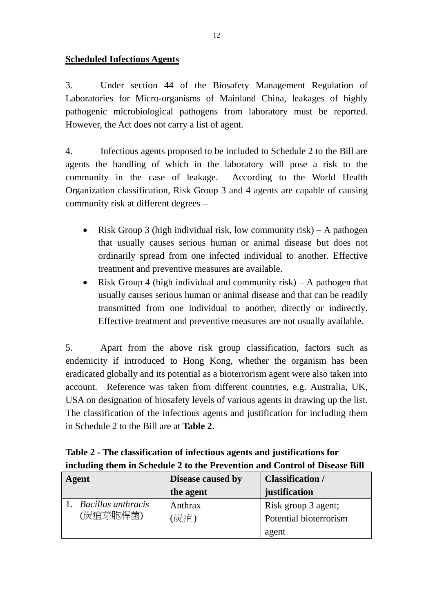### **Scheduled Infectious Agents**

3. Under section 44 of the Biosafety Management Regulation of Laboratories for Micro-organisms of Mainland China, leakages of highly pathogenic microbiological pathogens from laboratory must be reported. However, the Act does not carry a list of agent.

4. Infectious agents proposed to be included to Schedule 2 to the Bill are agents the handling of which in the laboratory will pose a risk to the community in the case of leakage. According to the World Health Organization classification, Risk Group 3 and 4 agents are capable of causing community risk at different degrees –

- Risk Group 3 (high individual risk, low community risk) A pathogen that usually causes serious human or animal disease but does not ordinarily spread from one infected individual to another. Effective treatment and preventive measures are available.
- Risk Group 4 (high individual and community risk) A pathogen that usually causes serious human or animal disease and that can be readily transmitted from one individual to another, directly or indirectly. Effective treatment and preventive measures are not usually available.

5. Apart from the above risk group classification, factors such as endemicity if introduced to Hong Kong, whether the organism has been eradicated globally and its potential as a bioterrorism agent were also taken into account. Reference was taken from different countries, e.g. Australia, UK, USA on designation of biosafety levels of various agents in drawing up the list. The classification of the infectious agents and justification for including them in Schedule 2 to the Bill are at **Table 2**.

| Table 2 - The classification of infectious agents and justifications for   |
|----------------------------------------------------------------------------|
| including them in Schedule 2 to the Prevention and Control of Disease Bill |

| Agent |                           | <b>Disease caused by</b> | <b>Classification</b> / |
|-------|---------------------------|--------------------------|-------------------------|
|       |                           | the agent                | justification           |
|       | <b>Bacillus</b> anthracis | Anthrax                  | Risk group 3 agent;     |
|       | (炭疽芽胞桿菌)                  | (炭疽)                     | Potential bioterrorism  |
|       |                           |                          | agent                   |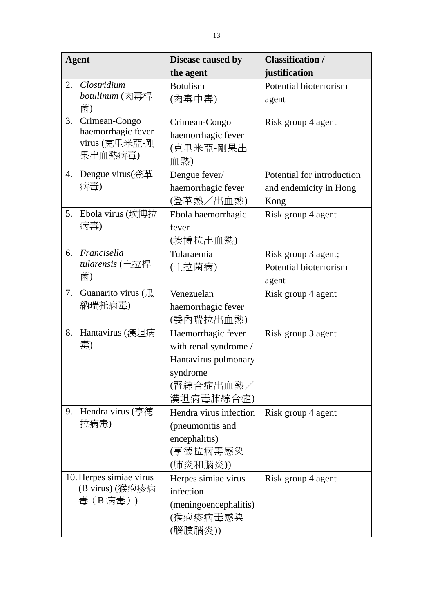| <b>Agent</b> |                                                                  | Disease caused by                                                                                         | <b>Classification /</b>                                      |
|--------------|------------------------------------------------------------------|-----------------------------------------------------------------------------------------------------------|--------------------------------------------------------------|
|              |                                                                  | the agent                                                                                                 | justification                                                |
| 2.           | Clostridium<br>botulinum (肉毒桿<br>菌)                              | <b>Botulism</b><br>(肉毒中毒)                                                                                 | Potential bioterrorism<br>agent                              |
| 3.           | Crimean-Congo<br>haemorrhagic fever<br>virus (克里米亞-剛<br>果出血熱病毒)  | Crimean-Congo<br>haemorrhagic fever<br>(克里米亞-剛果出<br>血熱)                                                   | Risk group 4 agent                                           |
| 4.           | Dengue virus(登革<br>病毒)                                           | Dengue fever/<br>haemorrhagic fever<br>(登革熱/出血熱)                                                          | Potential for introduction<br>and endemicity in Hong<br>Kong |
| 5.           | Ebola virus (埃博拉<br>病毒)                                          | Ebola haemorrhagic<br>fever<br>(埃博拉出血熱)                                                                   | Risk group 4 agent                                           |
| 6.           | Francisella<br>tularensis $(\pm \overleftrightarrow{E})$ 桿<br>菌) | Tularaemia<br>(土拉菌病)                                                                                      | Risk group 3 agent;<br>Potential bioterrorism<br>agent       |
| 7.           | Guanarito virus (瓜<br>納瑞托病毒)                                     | Venezuelan<br>haemorrhagic fever<br>(委內瑞拉出血熱)                                                             | Risk group 4 agent                                           |
| 8.           | Hantavirus (漢坦病<br>毒)                                            | Haemorrhagic fever<br>with renal syndrome /<br>Hantavirus pulmonary<br>syndrome<br>(腎綜合症出血熱/<br>漢坦病毒肺綜合症) | Risk group 3 agent                                           |
| 9.           | Hendra virus (亨德<br>拉病毒)                                         | Hendra virus infection<br>(pneumonitis and<br>encephalitis)<br>(亨德拉病毒感染<br>(肺炎和腦炎))                       | Risk group 4 agent                                           |
|              | 10. Herpes simiae virus<br>(B virus) (猴疱疹病<br>毒 (B病毒))           | Herpes simiae virus<br>infection<br>(meningoencephalitis)<br>(猴疱疹病毒感染<br>(腦膜腦炎))                          | Risk group 4 agent                                           |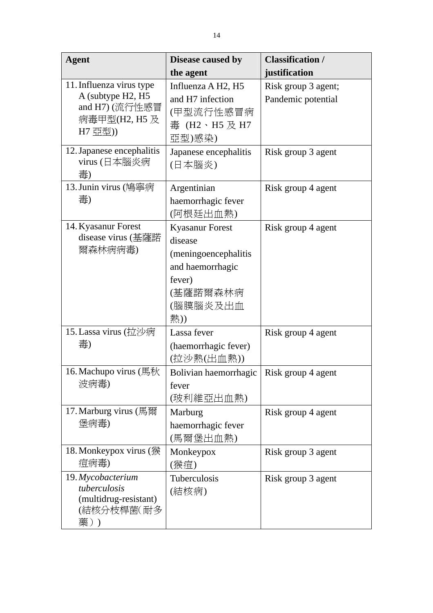| <b>Agent</b>                                                                                | Disease caused by                                                                                                      | <b>Classification /</b>                   |
|---------------------------------------------------------------------------------------------|------------------------------------------------------------------------------------------------------------------------|-------------------------------------------|
|                                                                                             | the agent                                                                                                              | justification                             |
| 11. Influenza virus type<br>A (subtype H2, H5<br>and H7) (流行性感冒<br>病毒甲型(H2, H5 及<br>H7 亞型)) | Influenza A H <sub>2</sub> , H <sub>5</sub><br>and H7 infection<br>(甲型流行性感冒病<br>毒 (H2、H5 及 H7<br>亞型)感染)                | Risk group 3 agent;<br>Pandemic potential |
| 12. Japanese encephalitis<br>virus (日本腦炎病<br>毒)                                             | Japanese encephalitis<br>(日本腦炎)                                                                                        | Risk group 3 agent                        |
| 13. Junin virus (鳩寧病<br>毒)                                                                  | Argentinian<br>haemorrhagic fever<br>(阿根廷出血熱)                                                                          | Risk group 4 agent                        |
| 14. Kyasanur Forest<br>disease virus (基薩諾<br>爾森林病病毒)                                        | <b>Kyasanur Forest</b><br>disease<br>(meningoencephalitis<br>and haemorrhagic<br>fever)<br>(基薩諾爾森林病<br>(腦膜腦炎及出血<br>熱)) | Risk group 4 agent                        |
| 15. Lassa virus (拉沙病<br>毒)                                                                  | Lassa fever<br>(haemorrhagic fever)<br>(拉沙熱(出血熱))                                                                      | Risk group 4 agent                        |
| 16. Machupo virus (馬秋<br>波病毒)                                                               | Bolivian haemorrhagic<br>fever<br>(玻利維亞出血熱)                                                                            | Risk group 4 agent                        |
| 17. Marburg virus (馬爾<br>堡病毒)                                                               | Marburg<br>haemorrhagic fever<br>(馬爾堡出血熱)                                                                              | Risk group 4 agent                        |
| 18. Monkeypox virus (猴<br>痘病毒)                                                              | Monkeypox<br>(猴痘)                                                                                                      | Risk group 3 agent                        |
| 19. Mycobacterium<br>tuberculosis<br>(multidrug-resistant)<br>(結核分枝桿菌(耐多<br>藥))             | Tuberculosis<br>(結核病)                                                                                                  | Risk group 3 agent                        |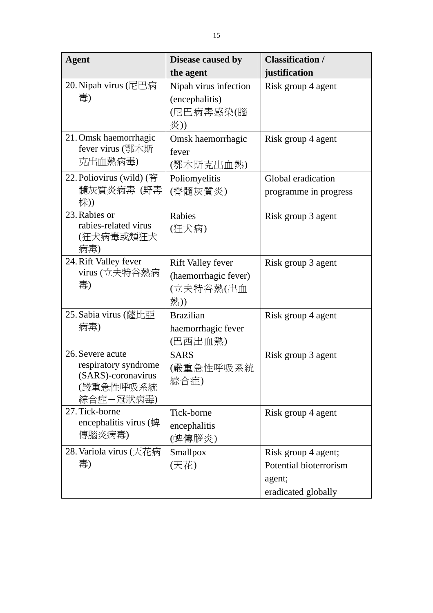| <b>Agent</b>                                                                             | Disease caused by                                                    | <b>Classification /</b>                                                        |
|------------------------------------------------------------------------------------------|----------------------------------------------------------------------|--------------------------------------------------------------------------------|
|                                                                                          | the agent                                                            | justification                                                                  |
| 20. Nipah virus (尼巴病<br>毒)                                                               | Nipah virus infection<br>(encephalitis)<br>(尼巴病毒感染(腦<br>炎))          | Risk group 4 agent                                                             |
| 21. Omsk haemorrhagic<br>fever virus (鄂木斯<br>克出血熱病毒)                                     | Omsk haemorrhagic<br>fever<br>(鄂木斯克出血熱)                              | Risk group 4 agent                                                             |
| 22. Poliovirus (wild) (脊<br>髓灰質炎病毒 (野毒<br>株))                                            | Poliomyelitis<br>(脊髓灰質炎)                                             | Global eradication<br>programme in progress                                    |
| 23. Rabies or<br>rabies-related virus<br>(狂犬病毒或類狂犬<br>病毒)                                | Rabies<br>(狂犬病)                                                      | Risk group 3 agent                                                             |
| 24. Rift Valley fever<br>virus (立夫特谷熱病<br>毒)                                             | <b>Rift Valley fever</b><br>(haemorrhagic fever)<br>(立夫特谷熱(出血<br>熱)) | Risk group 3 agent                                                             |
| 25. Sabia virus (薩比亞<br>病毒)                                                              | <b>Brazilian</b><br>haemorrhagic fever<br>(巴西出血熱)                    | Risk group 4 agent                                                             |
| 26. Severe acute<br>respiratory syndrome<br>(SARS)-coronavirus<br>(嚴重急性呼吸系統<br>綜合症-冠狀病毒) | <b>SARS</b><br>(嚴重急性呼吸系統<br>綜合症)                                     | Risk group 3 agent                                                             |
| 27. Tick-borne<br>encephalitis virus (蜱<br>傳腦炎病毒)                                        | Tick-borne<br>encephalitis<br>(蜱傳腦炎)                                 | Risk group 4 agent                                                             |
| 28. Variola virus (天花病<br>毒)                                                             | Smallpox<br>(天花)                                                     | Risk group 4 agent;<br>Potential bioterrorism<br>agent;<br>eradicated globally |